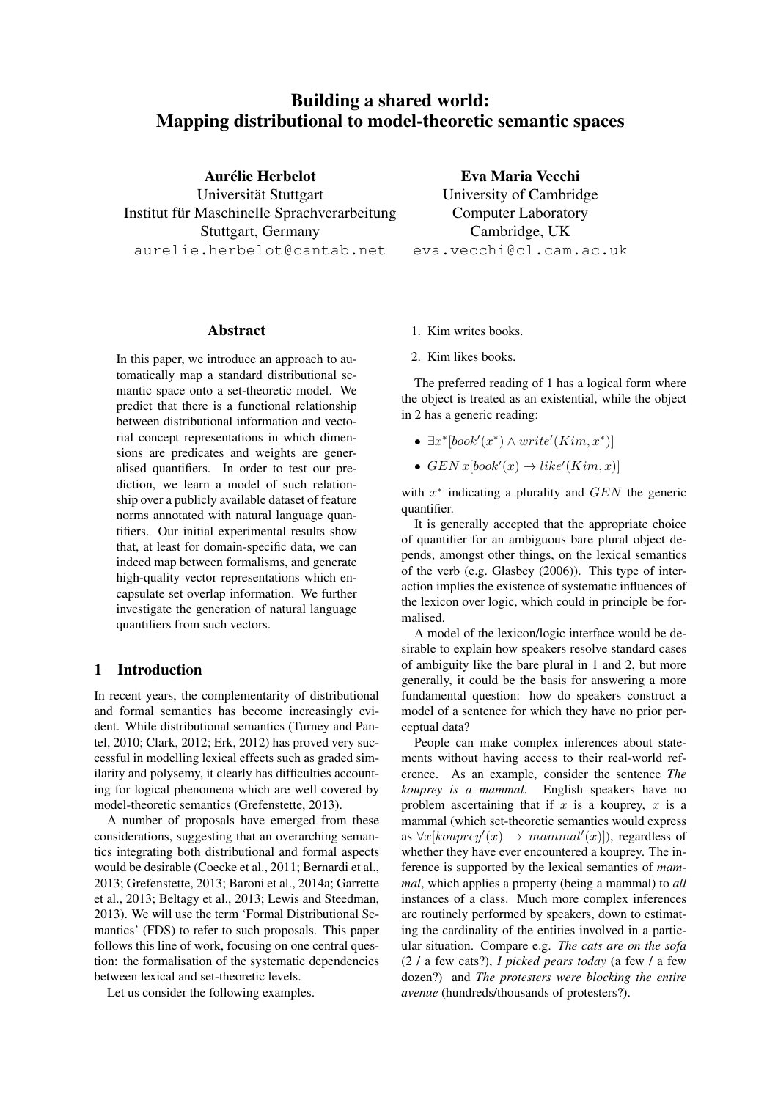# Building a shared world: Mapping distributional to model-theoretic semantic spaces

Aurélie Herbelot

Universität Stuttgart Institut für Maschinelle Sprachverarbeitung Stuttgart, Germany aurelie.herbelot@cantab.net

Eva Maria Vecchi University of Cambridge Computer Laboratory Cambridge, UK eva.vecchi@cl.cam.ac.uk

# Abstract

In this paper, we introduce an approach to automatically map a standard distributional semantic space onto a set-theoretic model. We predict that there is a functional relationship between distributional information and vectorial concept representations in which dimensions are predicates and weights are generalised quantifiers. In order to test our prediction, we learn a model of such relationship over a publicly available dataset of feature norms annotated with natural language quantifiers. Our initial experimental results show that, at least for domain-specific data, we can indeed map between formalisms, and generate high-quality vector representations which encapsulate set overlap information. We further investigate the generation of natural language quantifiers from such vectors.

# 1 Introduction

In recent years, the complementarity of distributional and formal semantics has become increasingly evident. While distributional semantics (Turney and Pantel, 2010; Clark, 2012; Erk, 2012) has proved very successful in modelling lexical effects such as graded similarity and polysemy, it clearly has difficulties accounting for logical phenomena which are well covered by model-theoretic semantics (Grefenstette, 2013).

A number of proposals have emerged from these considerations, suggesting that an overarching semantics integrating both distributional and formal aspects would be desirable (Coecke et al., 2011; Bernardi et al., 2013; Grefenstette, 2013; Baroni et al., 2014a; Garrette et al., 2013; Beltagy et al., 2013; Lewis and Steedman, 2013). We will use the term 'Formal Distributional Semantics' (FDS) to refer to such proposals. This paper follows this line of work, focusing on one central question: the formalisation of the systematic dependencies between lexical and set-theoretic levels.

Let us consider the following examples.

- 1. Kim writes books.
- 2. Kim likes books.

The preferred reading of 1 has a logical form where the object is treated as an existential, while the object in 2 has a generic reading:

- $\exists x^* \left[ book'(x^*) \wedge write'(Kim, x^*)\right]$
- $GENx[book'(x) \rightarrow like'(Kim, x)]$

with  $x^*$  indicating a plurality and  $GEN$  the generic quantifier.

It is generally accepted that the appropriate choice of quantifier for an ambiguous bare plural object depends, amongst other things, on the lexical semantics of the verb (e.g. Glasbey (2006)). This type of interaction implies the existence of systematic influences of the lexicon over logic, which could in principle be formalised.

A model of the lexicon/logic interface would be desirable to explain how speakers resolve standard cases of ambiguity like the bare plural in 1 and 2, but more generally, it could be the basis for answering a more fundamental question: how do speakers construct a model of a sentence for which they have no prior perceptual data?

People can make complex inferences about statements without having access to their real-world reference. As an example, consider the sentence *The kouprey is a mammal*. English speakers have no problem ascertaining that if  $x$  is a kouprey,  $x$  is a mammal (which set-theoretic semantics would express as  $\forall x$ [kouprey'(x)  $\rightarrow$  mammal'(x)]), regardless of whether they have ever encountered a kouprey. The inference is supported by the lexical semantics of *mammal*, which applies a property (being a mammal) to *all* instances of a class. Much more complex inferences are routinely performed by speakers, down to estimating the cardinality of the entities involved in a particular situation. Compare e.g. *The cats are on the sofa* (2 / a few cats?), *I picked pears today* (a few / a few dozen?) and *The protesters were blocking the entire avenue* (hundreds/thousands of protesters?).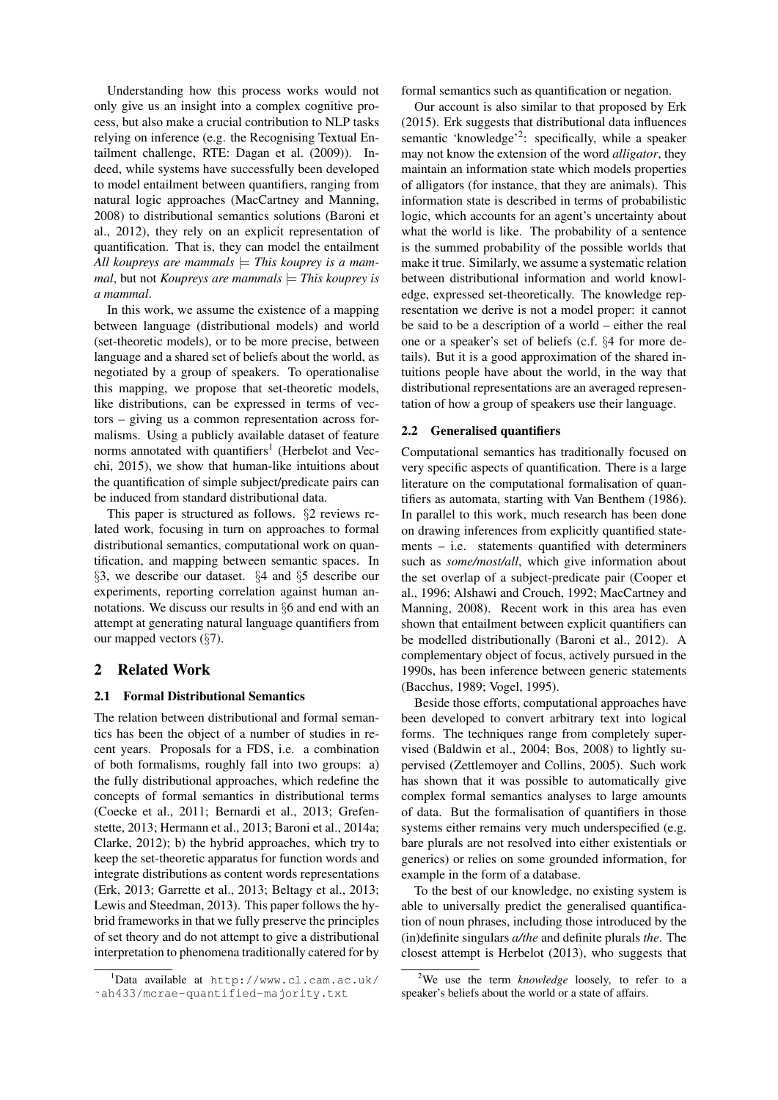Understanding how this process works would not only give us an insight into a complex cognitive process, but also make a crucial contribution to NLP tasks relying on inference (e.g. the Recognising Textual Entailment challenge, RTE: Dagan et al. (2009)). Indeed, while systems have successfully been developed to model entailment between quantifiers, ranging from natural logic approaches (MacCartney and Manning, 2008) to distributional semantics solutions (Baroni et al., 2012), they rely on an explicit representation of quantification. That is, they can model the entailment All koupreys are mammals  $=$  *This kouprey is a mammal*, but not *Koupreys are mammals*  $=$  *This kouprey is a mammal*.

In this work, we assume the existence of a mapping between language (distributional models) and world (set-theoretic models), or to be more precise, between language and a shared set of beliefs about the world, as negotiated by a group of speakers. To operationalise this mapping, we propose that set-theoretic models, like distributions, can be expressed in terms of vectors – giving us a common representation across formalisms. Using a publicly available dataset of feature norms annotated with quantifiers<sup>1</sup> (Herbelot and Vecchi, 2015), we show that human-like intuitions about the quantification of simple subject/predicate pairs can be induced from standard distributional data.

This paper is structured as follows. §2 reviews related work, focusing in turn on approaches to formal distributional semantics, computational work on quantification, and mapping between semantic spaces. In §3, we describe our dataset. §4 and §5 describe our experiments, reporting correlation against human annotations. We discuss our results in §6 and end with an attempt at generating natural language quantifiers from our mapped vectors (§7).

# 2 Related Work

#### 2.1 Formal Distributional Semantics

The relation between distributional and formal semantics has been the object of a number of studies in recent years. Proposals for a FDS, i.e. a combination of both formalisms, roughly fall into two groups: a) the fully distributional approaches, which redefine the concepts of formal semantics in distributional terms (Coecke et al., 2011; Bernardi et al., 2013; Grefenstette, 2013; Hermann et al., 2013; Baroni et al., 2014a; Clarke, 2012); b) the hybrid approaches, which try to keep the set-theoretic apparatus for function words and integrate distributions as content words representations (Erk, 2013; Garrette et al., 2013; Beltagy et al., 2013; Lewis and Steedman, 2013). This paper follows the hybrid frameworks in that we fully preserve the principles of set theory and do not attempt to give a distributional interpretation to phenomena traditionally catered for by

formal semantics such as quantification or negation.

Our account is also similar to that proposed by Erk (2015). Erk suggests that distributional data influences semantic 'knowledge'<sup>2</sup>: specifically, while a speaker may not know the extension of the word *alligator*, they maintain an information state which models properties of alligators (for instance, that they are animals). This information state is described in terms of probabilistic logic, which accounts for an agent's uncertainty about what the world is like. The probability of a sentence is the summed probability of the possible worlds that make it true. Similarly, we assume a systematic relation between distributional information and world knowledge, expressed set-theoretically. The knowledge representation we derive is not a model proper: it cannot be said to be a description of a world – either the real one or a speaker's set of beliefs (c.f. §4 for more details). But it is a good approximation of the shared intuitions people have about the world, in the way that distributional representations are an averaged representation of how a group of speakers use their language.

#### 2.2 Generalised quantifiers

Computational semantics has traditionally focused on very specific aspects of quantification. There is a large literature on the computational formalisation of quantifiers as automata, starting with Van Benthem (1986). In parallel to this work, much research has been done on drawing inferences from explicitly quantified statements – i.e. statements quantified with determiners such as *some/most/all*, which give information about the set overlap of a subject-predicate pair (Cooper et al., 1996; Alshawi and Crouch, 1992; MacCartney and Manning, 2008). Recent work in this area has even shown that entailment between explicit quantifiers can be modelled distributionally (Baroni et al., 2012). A complementary object of focus, actively pursued in the 1990s, has been inference between generic statements (Bacchus, 1989; Vogel, 1995).

Beside those efforts, computational approaches have been developed to convert arbitrary text into logical forms. The techniques range from completely supervised (Baldwin et al., 2004; Bos, 2008) to lightly supervised (Zettlemoyer and Collins, 2005). Such work has shown that it was possible to automatically give complex formal semantics analyses to large amounts of data. But the formalisation of quantifiers in those systems either remains very much underspecified (e.g. bare plurals are not resolved into either existentials or generics) or relies on some grounded information, for example in the form of a database.

To the best of our knowledge, no existing system is able to universally predict the generalised quantification of noun phrases, including those introduced by the (in)definite singulars *a/the* and definite plurals *the*. The closest attempt is Herbelot (2013), who suggests that

 $1$ Data available at http://www.cl.cam.ac.uk/ ˜ah433/mcrae-quantified-majority.txt

<sup>2</sup>We use the term *knowledge* loosely, to refer to a speaker's beliefs about the world or a state of affairs.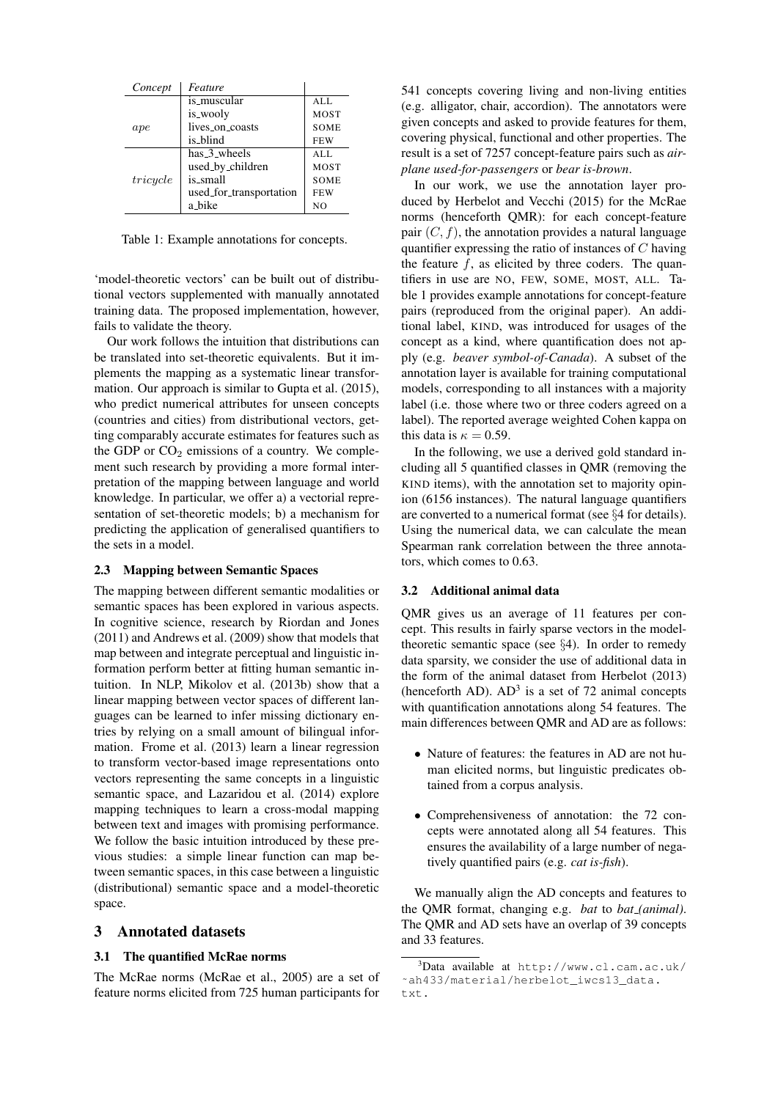| Concept  | Feature                 |                |
|----------|-------------------------|----------------|
|          | is_muscular             | ALL            |
|          | is_wooly                | <b>MOST</b>    |
| ape      | lives on coasts         | <b>SOME</b>    |
|          | is_blind                | <b>FEW</b>     |
|          | has_3_wheels            | ALL.           |
|          | used_by_children        | <b>MOST</b>    |
| tricycle | is_small                | <b>SOME</b>    |
|          | used_for_transportation | <b>FEW</b>     |
|          | a_bike                  | N <sub>O</sub> |

Table 1: Example annotations for concepts.

'model-theoretic vectors' can be built out of distributional vectors supplemented with manually annotated training data. The proposed implementation, however, fails to validate the theory.

Our work follows the intuition that distributions can be translated into set-theoretic equivalents. But it implements the mapping as a systematic linear transformation. Our approach is similar to Gupta et al. (2015), who predict numerical attributes for unseen concepts (countries and cities) from distributional vectors, getting comparably accurate estimates for features such as the GDP or  $CO<sub>2</sub>$  emissions of a country. We complement such research by providing a more formal interpretation of the mapping between language and world knowledge. In particular, we offer a) a vectorial representation of set-theoretic models; b) a mechanism for predicting the application of generalised quantifiers to the sets in a model.

#### 2.3 Mapping between Semantic Spaces

The mapping between different semantic modalities or semantic spaces has been explored in various aspects. In cognitive science, research by Riordan and Jones (2011) and Andrews et al. (2009) show that models that map between and integrate perceptual and linguistic information perform better at fitting human semantic intuition. In NLP, Mikolov et al. (2013b) show that a linear mapping between vector spaces of different languages can be learned to infer missing dictionary entries by relying on a small amount of bilingual information. Frome et al. (2013) learn a linear regression to transform vector-based image representations onto vectors representing the same concepts in a linguistic semantic space, and Lazaridou et al. (2014) explore mapping techniques to learn a cross-modal mapping between text and images with promising performance. We follow the basic intuition introduced by these previous studies: a simple linear function can map between semantic spaces, in this case between a linguistic (distributional) semantic space and a model-theoretic space.

#### 3 Annotated datasets

#### 3.1 The quantified McRae norms

The McRae norms (McRae et al., 2005) are a set of feature norms elicited from 725 human participants for

541 concepts covering living and non-living entities (e.g. alligator, chair, accordion). The annotators were given concepts and asked to provide features for them, covering physical, functional and other properties. The result is a set of 7257 concept-feature pairs such as *airplane used-for-passengers* or *bear is-brown*.

In our work, we use the annotation layer produced by Herbelot and Vecchi (2015) for the McRae norms (henceforth QMR): for each concept-feature pair  $(C, f)$ , the annotation provides a natural language quantifier expressing the ratio of instances of C having the feature  $f$ , as elicited by three coders. The quantifiers in use are NO, FEW, SOME, MOST, ALL. Table 1 provides example annotations for concept-feature pairs (reproduced from the original paper). An additional label, KIND, was introduced for usages of the concept as a kind, where quantification does not apply (e.g. *beaver symbol-of-Canada*). A subset of the annotation layer is available for training computational models, corresponding to all instances with a majority label (i.e. those where two or three coders agreed on a label). The reported average weighted Cohen kappa on this data is  $\kappa = 0.59$ .

In the following, we use a derived gold standard including all 5 quantified classes in QMR (removing the KIND items), with the annotation set to majority opinion (6156 instances). The natural language quantifiers are converted to a numerical format (see §4 for details). Using the numerical data, we can calculate the mean Spearman rank correlation between the three annotators, which comes to 0.63.

#### 3.2 Additional animal data

QMR gives us an average of 11 features per concept. This results in fairly sparse vectors in the modeltheoretic semantic space (see  $\S$ 4). In order to remedy data sparsity, we consider the use of additional data in the form of the animal dataset from Herbelot (2013) (henceforth AD).  $AD<sup>3</sup>$  is a set of 72 animal concepts with quantification annotations along 54 features. The main differences between QMR and AD are as follows:

- Nature of features: the features in AD are not human elicited norms, but linguistic predicates obtained from a corpus analysis.
- Comprehensiveness of annotation: the 72 concepts were annotated along all 54 features. This ensures the availability of a large number of negatively quantified pairs (e.g. *cat is-fish*).

We manually align the AD concepts and features to the QMR format, changing e.g. *bat* to *bat (animal)*. The QMR and AD sets have an overlap of 39 concepts and 33 features.

 $3$ Data available at http://www.cl.cam.ac.uk/ ˜ah433/material/herbelot\_iwcs13\_data. txt.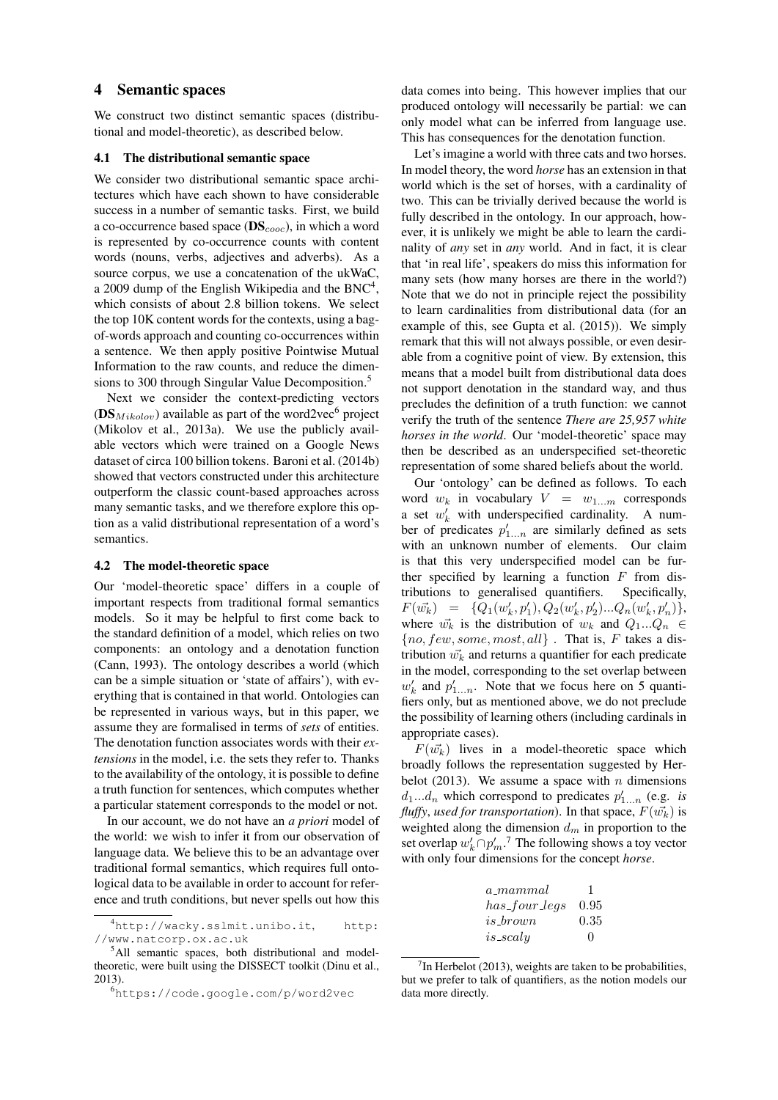#### 4 Semantic spaces

We construct two distinct semantic spaces (distributional and model-theoretic), as described below.

#### 4.1 The distributional semantic space

We consider two distributional semantic space architectures which have each shown to have considerable success in a number of semantic tasks. First, we build a co-occurrence based space  $(DS_{cooc})$ , in which a word is represented by co-occurrence counts with content words (nouns, verbs, adjectives and adverbs). As a source corpus, we use a concatenation of the ukWaC, a 2009 dump of the English Wikipedia and the  $BNC^4$ , which consists of about 2.8 billion tokens. We select the top 10K content words for the contexts, using a bagof-words approach and counting co-occurrences within a sentence. We then apply positive Pointwise Mutual Information to the raw counts, and reduce the dimensions to 300 through Singular Value Decomposition.<sup>5</sup>

Next we consider the context-predicting vectors (DS<sub>Mikolov</sub>) available as part of the word2vec<sup>6</sup> project (Mikolov et al., 2013a). We use the publicly available vectors which were trained on a Google News dataset of circa 100 billion tokens. Baroni et al. (2014b) showed that vectors constructed under this architecture outperform the classic count-based approaches across many semantic tasks, and we therefore explore this option as a valid distributional representation of a word's semantics.

#### 4.2 The model-theoretic space

Our 'model-theoretic space' differs in a couple of important respects from traditional formal semantics models. So it may be helpful to first come back to the standard definition of a model, which relies on two components: an ontology and a denotation function (Cann, 1993). The ontology describes a world (which can be a simple situation or 'state of affairs'), with everything that is contained in that world. Ontologies can be represented in various ways, but in this paper, we assume they are formalised in terms of *sets* of entities. The denotation function associates words with their *extensions* in the model, i.e. the sets they refer to. Thanks to the availability of the ontology, it is possible to define a truth function for sentences, which computes whether a particular statement corresponds to the model or not.

In our account, we do not have an *a priori* model of the world: we wish to infer it from our observation of language data. We believe this to be an advantage over traditional formal semantics, which requires full ontological data to be available in order to account for reference and truth conditions, but never spells out how this data comes into being. This however implies that our produced ontology will necessarily be partial: we can only model what can be inferred from language use. This has consequences for the denotation function.

Let's imagine a world with three cats and two horses. In model theory, the word *horse* has an extension in that world which is the set of horses, with a cardinality of two. This can be trivially derived because the world is fully described in the ontology. In our approach, however, it is unlikely we might be able to learn the cardinality of *any* set in *any* world. And in fact, it is clear that 'in real life', speakers do miss this information for many sets (how many horses are there in the world?) Note that we do not in principle reject the possibility to learn cardinalities from distributional data (for an example of this, see Gupta et al. (2015)). We simply remark that this will not always possible, or even desirable from a cognitive point of view. By extension, this means that a model built from distributional data does not support denotation in the standard way, and thus precludes the definition of a truth function: we cannot verify the truth of the sentence *There are 25,957 white horses in the world*. Our 'model-theoretic' space may then be described as an underspecified set-theoretic representation of some shared beliefs about the world.

Our 'ontology' can be defined as follows. To each word  $w_k$  in vocabulary  $V = w_{1...m}$  corresponds a set  $w'_k$  with underspecified cardinality. A number of predicates  $p'_{1...n}$  are similarly defined as sets with an unknown number of elements. Our claim is that this very underspecified model can be further specified by learning a function  $F$  from distributions to generalised quantifiers. Specifically,  $F(\vec{w_k}) = \{Q_1(w'_k, p'_1), Q_2(w'_k, p'_2) ... Q_n(w'_k, p'_n)\},\,$ where  $\vec{w_k}$  is the distribution of  $w_k$  and  $Q_1...Q_n \in$  $\{no, few, some, most, all\}$ . That is, F takes a distribution  $\vec{w_k}$  and returns a quantifier for each predicate in the model, corresponding to the set overlap between  $w'_k$  and  $p'_{1...n}$ . Note that we focus here on 5 quantifiers only, but as mentioned above, we do not preclude the possibility of learning others (including cardinals in appropriate cases).

 $F(\vec{w_k})$  lives in a model-theoretic space which broadly follows the representation suggested by Herbelot (2013). We assume a space with  $n$  dimensions  $d_1...d_n$  which correspond to predicates  $p'_{1...n}$  (e.g. *is fluffy*, *used for transportation*). In that space,  $F(\vec{w_k})$  is weighted along the dimension  $d_m$  in proportion to the set overlap  $w'_k \cap p'_m$ .<sup>7</sup> The following shows a toy vector with only four dimensions for the concept *horse*.

| a_mammal      | -1       |
|---------------|----------|
| has_four_legs | 0.95     |
| $is\_brown$   | 0.35     |
| $is\_scalu$   | $\Omega$ |

 $7$ In Herbelot (2013), weights are taken to be probabilities, but we prefer to talk of quantifiers, as the notion models our data more directly.

<sup>4</sup>http://wacky.sslmit.unibo.it, http: //www.natcorp.ox.ac.uk

<sup>5</sup>All semantic spaces, both distributional and modeltheoretic, were built using the DISSECT toolkit (Dinu et al., 2013).

<sup>6</sup>https://code.google.com/p/word2vec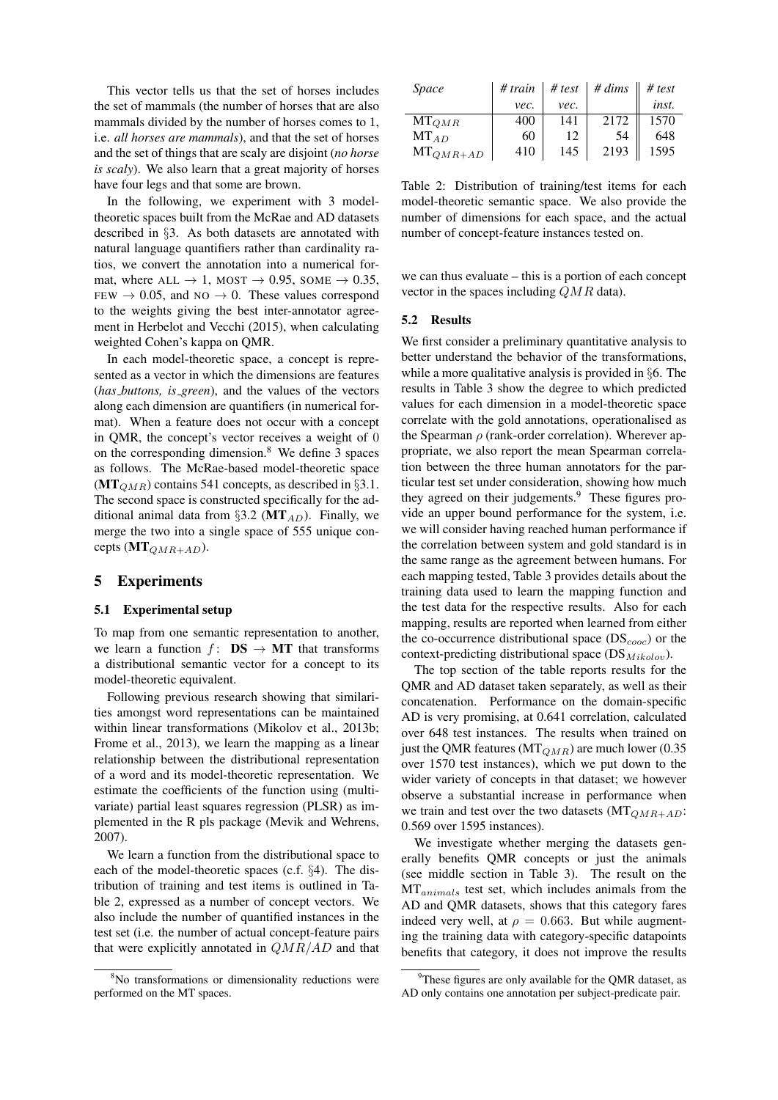This vector tells us that the set of horses includes the set of mammals (the number of horses that are also mammals divided by the number of horses comes to 1, i.e. *all horses are mammals*), and that the set of horses and the set of things that are scaly are disjoint (*no horse is scaly*). We also learn that a great majority of horses have four legs and that some are brown.

In the following, we experiment with 3 modeltheoretic spaces built from the McRae and AD datasets described in §3. As both datasets are annotated with natural language quantifiers rather than cardinality ratios, we convert the annotation into a numerical format, where  $ALL \rightarrow 1$ , MOST  $\rightarrow$  0.95, SOME  $\rightarrow$  0.35, FEW  $\rightarrow$  0.05, and NO  $\rightarrow$  0. These values correspond to the weights giving the best inter-annotator agreement in Herbelot and Vecchi (2015), when calculating weighted Cohen's kappa on QMR.

In each model-theoretic space, a concept is represented as a vector in which the dimensions are features (*has buttons, is green*), and the values of the vectors along each dimension are quantifiers (in numerical format). When a feature does not occur with a concept in QMR, the concept's vector receives a weight of 0 on the corresponding dimension.<sup>8</sup> We define 3 spaces as follows. The McRae-based model-theoretic space  $(MT_{QMR})$  contains 541 concepts, as described in §3.1. The second space is constructed specifically for the additional animal data from §3.2 ( $MT_{AD}$ ). Finally, we merge the two into a single space of 555 unique concepts  $(MT_{QMR+AD})$ .

# 5 Experiments

#### 5.1 Experimental setup

To map from one semantic representation to another, we learn a function  $f: DS \rightarrow MT$  that transforms a distributional semantic vector for a concept to its model-theoretic equivalent.

Following previous research showing that similarities amongst word representations can be maintained within linear transformations (Mikolov et al., 2013b; Frome et al., 2013), we learn the mapping as a linear relationship between the distributional representation of a word and its model-theoretic representation. We estimate the coefficients of the function using (multivariate) partial least squares regression (PLSR) as implemented in the R pls package (Mevik and Wehrens, 2007).

We learn a function from the distributional space to each of the model-theoretic spaces (c.f. §4). The distribution of training and test items is outlined in Table 2, expressed as a number of concept vectors. We also include the number of quantified instances in the test set (i.e. the number of actual concept-feature pairs that were explicitly annotated in  $QMR/AD$  and that

| <i>Space</i>        | # train | # test | $# \, dims$ | # test |
|---------------------|---------|--------|-------------|--------|
|                     | vec.    | vec.   |             | inst.  |
| ${\rm MT}_{QMR}$    | 400     | 141    | 2172        | 1570   |
| $MT_{AD}$           | 60      | 12     | 54          | 648    |
| ${\rm MT}_{QMR+AD}$ | 410     | 145    | 2193        | 1595   |

Table 2: Distribution of training/test items for each model-theoretic semantic space. We also provide the number of dimensions for each space, and the actual number of concept-feature instances tested on.

we can thus evaluate – this is a portion of each concept vector in the spaces including QMR data).

#### 5.2 Results

We first consider a preliminary quantitative analysis to better understand the behavior of the transformations, while a more qualitative analysis is provided in §6. The results in Table 3 show the degree to which predicted values for each dimension in a model-theoretic space correlate with the gold annotations, operationalised as the Spearman  $\rho$  (rank-order correlation). Wherever appropriate, we also report the mean Spearman correlation between the three human annotators for the particular test set under consideration, showing how much they agreed on their judgements.<sup>9</sup> These figures provide an upper bound performance for the system, i.e. we will consider having reached human performance if the correlation between system and gold standard is in the same range as the agreement between humans. For each mapping tested, Table 3 provides details about the training data used to learn the mapping function and the test data for the respective results. Also for each mapping, results are reported when learned from either the co-occurrence distributional space  $(DS_{cooc})$  or the context-predicting distributional space  $(DS_{Mikolov})$ .

The top section of the table reports results for the QMR and AD dataset taken separately, as well as their concatenation. Performance on the domain-specific AD is very promising, at 0.641 correlation, calculated over 648 test instances. The results when trained on just the QMR features ( $MT_{QMR}$ ) are much lower (0.35 over 1570 test instances), which we put down to the wider variety of concepts in that dataset; we however observe a substantial increase in performance when we train and test over the two datasets  $(MT_{QMR+AD}$ : 0.569 over 1595 instances).

We investigate whether merging the datasets generally benefits QMR concepts or just the animals (see middle section in Table 3). The result on the  $MT_{animals}$  test set, which includes animals from the AD and QMR datasets, shows that this category fares indeed very well, at  $\rho = 0.663$ . But while augmenting the training data with category-specific datapoints benefits that category, it does not improve the results

<sup>&</sup>lt;sup>8</sup>No transformations or dimensionality reductions were performed on the MT spaces.

 $9^9$ These figures are only available for the QMR dataset, as AD only contains one annotation per subject-predicate pair.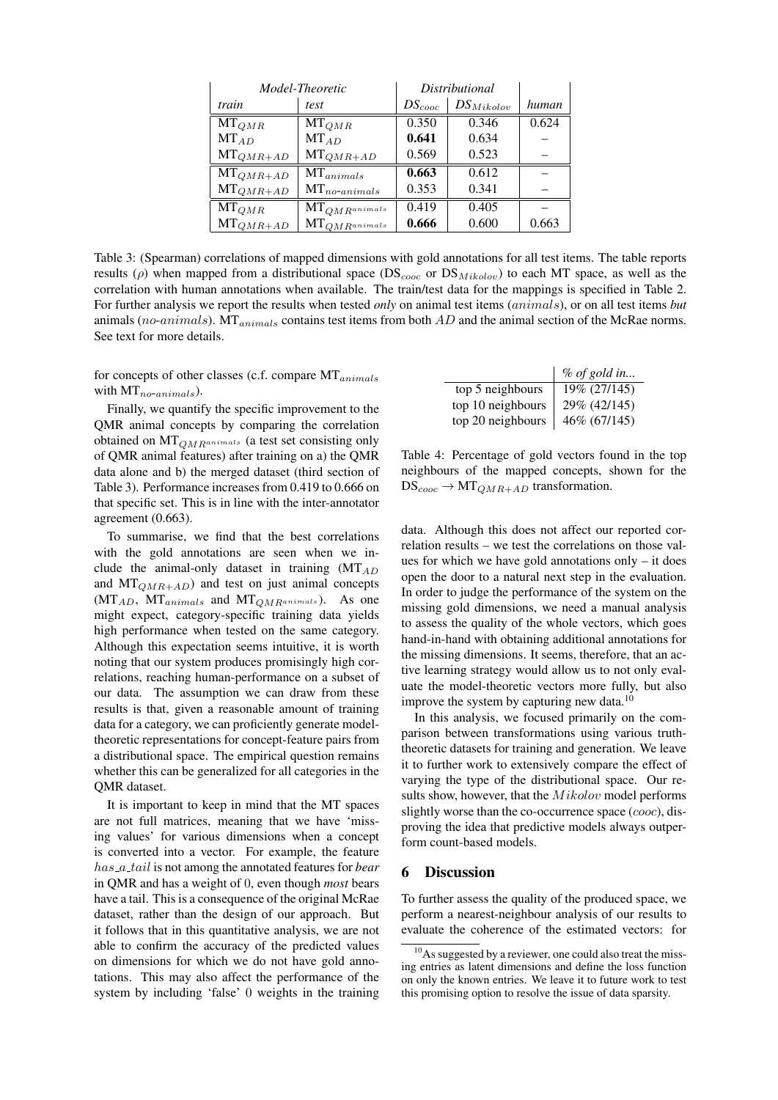| Model-Theoretic |                          | Distributional |                |       |
|-----------------|--------------------------|----------------|----------------|-------|
| train           | test                     | $DS_{cooc}$    | $DS_{Mikolov}$ | human |
| $MT_{QMR}$      | $MT_{QMR}$               | 0.350          | 0.346          | 0.624 |
| $MT_{AD}$       | $MT_{AD}$                | 0.641          | 0.634          |       |
| $MT_{QMR+AD}$   | $MT_{QMR+AD}$            | 0.569          | 0.523          |       |
| $MT_{QMR+AD}$   | $MT_{animals}$           | 0.663          | 0.612          |       |
| $MT_{QMR+AD}$   | $MT_{no\text{-}animals}$ | 0.353          | 0.341          |       |
| $MT_{QMR}$      | $MT_{QMR}$ animals       | 0.419          | 0.405          |       |
| $MT_{QMR+AD}$   | $MT_{OMR^{animals}}$     | 0.666          | 0.600          | 0.663 |

Table 3: (Spearman) correlations of mapped dimensions with gold annotations for all test items. The table reports results ( $\rho$ ) when mapped from a distributional space (DS<sub>cooc</sub> or DS<sub>Mikolov</sub>) to each MT space, as well as the correlation with human annotations when available. The train/test data for the mappings is specified in Table 2. For further analysis we report the results when tested *only* on animal test items (animals), or on all test items *but* animals (no-animals).  $MT_{animals}$  contains test items from both  $AD$  and the animal section of the McRae norms. See text for more details.

for concepts of other classes (c.f. compare  $MT_{animals}$ with  $MT_{no\text{-}animals}$ ).

Finally, we quantify the specific improvement to the QMR animal concepts by comparing the correlation obtained on  $MT_{QMR^{animals}}$  (a test set consisting only of QMR animal features) after training on a) the QMR data alone and b) the merged dataset (third section of Table 3). Performance increases from 0.419 to 0.666 on that specific set. This is in line with the inter-annotator agreement (0.663).

To summarise, we find that the best correlations with the gold annotations are seen when we include the animal-only dataset in training  $(MT_{AD}$ and  $MT_{QMR+AD}$ ) and test on just animal concepts  $(MT_{AD}, MT_{animals}$  and  $MT_{QMR^{animals}})$ . As one might expect, category-specific training data yields high performance when tested on the same category. Although this expectation seems intuitive, it is worth noting that our system produces promisingly high correlations, reaching human-performance on a subset of our data. The assumption we can draw from these results is that, given a reasonable amount of training data for a category, we can proficiently generate modeltheoretic representations for concept-feature pairs from a distributional space. The empirical question remains whether this can be generalized for all categories in the QMR dataset.

It is important to keep in mind that the MT spaces are not full matrices, meaning that we have 'missing values' for various dimensions when a concept is converted into a vector. For example, the feature has a tail is not among the annotated features for *bear* in QMR and has a weight of 0, even though *most* bears have a tail. This is a consequence of the original McRae dataset, rather than the design of our approach. But it follows that in this quantitative analysis, we are not able to confirm the accuracy of the predicted values on dimensions for which we do not have gold annotations. This may also affect the performance of the system by including 'false' 0 weights in the training

|                   | $%$ of gold in |
|-------------------|----------------|
| top 5 neighbours  | 19% (27/145)   |
| top 10 neighbours | 29% (42/145)   |
| top 20 neighbours | 46% (67/145)   |

Table 4: Percentage of gold vectors found in the top neighbours of the mapped concepts, shown for the  $DS_{cooc} \rightarrow MT_{QMR+AD}$  transformation.

data. Although this does not affect our reported correlation results – we test the correlations on those values for which we have gold annotations only – it does open the door to a natural next step in the evaluation. In order to judge the performance of the system on the missing gold dimensions, we need a manual analysis to assess the quality of the whole vectors, which goes hand-in-hand with obtaining additional annotations for the missing dimensions. It seems, therefore, that an active learning strategy would allow us to not only evaluate the model-theoretic vectors more fully, but also improve the system by capturing new data.<sup>10</sup>

In this analysis, we focused primarily on the comparison between transformations using various truththeoretic datasets for training and generation. We leave it to further work to extensively compare the effect of varying the type of the distributional space. Our results show, however, that the  $Mikolov$  model performs slightly worse than the co-occurrence space (cooc), disproving the idea that predictive models always outperform count-based models.

### 6 Discussion

To further assess the quality of the produced space, we perform a nearest-neighbour analysis of our results to evaluate the coherence of the estimated vectors: for

 $10<sub>10</sub>$ As suggested by a reviewer, one could also treat the missing entries as latent dimensions and define the loss function on only the known entries. We leave it to future work to test this promising option to resolve the issue of data sparsity.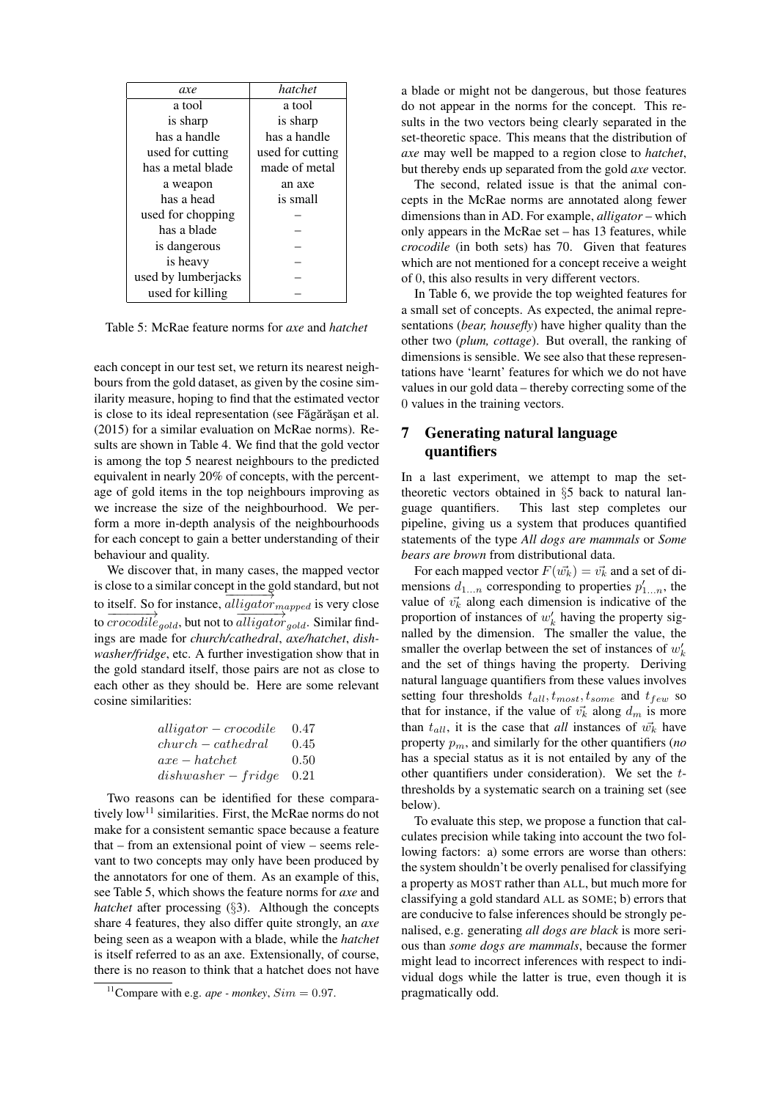| axe                 | hatchet          |
|---------------------|------------------|
| a tool              | a tool           |
| is sharp            | is sharp         |
| has a handle        | has a handle     |
| used for cutting    | used for cutting |
| has a metal blade   | made of metal    |
| a weapon            | an axe           |
| has a head          | is small         |
| used for chopping   |                  |
| has a blade         |                  |
| is dangerous        |                  |
| is heavy            |                  |
| used by lumberjacks |                  |
| used for killing    |                  |

Table 5: McRae feature norms for *axe* and *hatchet*

each concept in our test set, we return its nearest neighbours from the gold dataset, as given by the cosine similarity measure, hoping to find that the estimated vector is close to its ideal representation (see Făgărăsan et al. (2015) for a similar evaluation on McRae norms). Results are shown in Table 4. We find that the gold vector is among the top 5 nearest neighbours to the predicted equivalent in nearly 20% of concepts, with the percentage of gold items in the top neighbours improving as we increase the size of the neighbourhood. We perform a more in-depth analysis of the neighbourhoods for each concept to gain a better understanding of their behaviour and quality.

We discover that, in many cases, the mapped vector is close to a similar concept in the gold standard, but not to itself. So for instance,  $alligator_{mapped}$  is very close to  $\frac{1}{\sqrt{1-\frac{1}{2}}\sqrt{1-\frac{1}{2}}\sqrt{1-\frac{1}{2}}\sqrt{1-\frac{1}{2}}\sqrt{1-\frac{1}{2}}\sqrt{1-\frac{1}{2}}\sqrt{1-\frac{1}{2}}\sqrt{1-\frac{1}{2}}\sqrt{1-\frac{1}{2}}\sqrt{1-\frac{1}{2}}\sqrt{1-\frac{1}{2}}\sqrt{1-\frac{1}{2}}\sqrt{1-\frac{1}{2}}\sqrt{1-\frac{1}{2}}\sqrt{1-\frac{1}{2}}\sqrt{1-\frac{1}{2}}\sqrt{1-\frac{1}{2}}\sqrt{1-\frac{1}{2}}\sqrt{1-\frac{1}{2}}\sqrt{$ ings are made for *church/cathedral*, *axe/hatchet*, *dishwasher/fridge*, etc. A further investigation show that in the gold standard itself, those pairs are not as close to each other as they should be. Here are some relevant cosine similarities:

| $alligator-crocodile$    | 0.47 |
|--------------------------|------|
| $church-cathedral$       | 0.45 |
| $axe - hatchet$          | 0.50 |
| $dishwasher-fridge$ 0.21 |      |

Two reasons can be identified for these comparatively  $low<sup>11</sup>$  similarities. First, the McRae norms do not make for a consistent semantic space because a feature that – from an extensional point of view – seems relevant to two concepts may only have been produced by the annotators for one of them. As an example of this, see Table 5, which shows the feature norms for *axe* and *hatchet* after processing (§3). Although the concepts share 4 features, they also differ quite strongly, an *axe* being seen as a weapon with a blade, while the *hatchet* is itself referred to as an axe. Extensionally, of course, there is no reason to think that a hatchet does not have a blade or might not be dangerous, but those features do not appear in the norms for the concept. This results in the two vectors being clearly separated in the set-theoretic space. This means that the distribution of *axe* may well be mapped to a region close to *hatchet*, but thereby ends up separated from the gold *axe* vector.

The second, related issue is that the animal concepts in the McRae norms are annotated along fewer dimensions than in AD. For example, *alligator* – which only appears in the McRae set – has 13 features, while *crocodile* (in both sets) has 70. Given that features which are not mentioned for a concept receive a weight of 0, this also results in very different vectors.

In Table 6, we provide the top weighted features for a small set of concepts. As expected, the animal representations (*bear, housefly*) have higher quality than the other two (*plum, cottage*). But overall, the ranking of dimensions is sensible. We see also that these representations have 'learnt' features for which we do not have values in our gold data – thereby correcting some of the 0 values in the training vectors.

# 7 Generating natural language quantifiers

In a last experiment, we attempt to map the settheoretic vectors obtained in §5 back to natural language quantifiers. This last step completes our pipeline, giving us a system that produces quantified statements of the type *All dogs are mammals* or *Some bears are brown* from distributional data.

For each mapped vector  $F(\vec{w_k}) = \vec{v_k}$  and a set of dimensions  $d_{1...n}$  corresponding to properties  $p'_{1...n}$ , the value of  $v_k^*$  along each dimension is indicative of the proportion of instances of  $w'_k$  having the property signalled by the dimension. The smaller the value, the smaller the overlap between the set of instances of  $w'_{k}$ and the set of things having the property. Deriving natural language quantifiers from these values involves setting four thresholds  $t_{all}$ ,  $t_{most}$ ,  $t_{some}$  and  $t_{few}$  so that for instance, if the value of  $\vec{v_k}$  along  $d_m$  is more than  $t_{all}$ , it is the case that *all* instances of  $\vec{w_k}$  have property  $p_m$ , and similarly for the other quantifiers (*no* has a special status as it is not entailed by any of the other quantifiers under consideration). We set the  $t$ thresholds by a systematic search on a training set (see below).

To evaluate this step, we propose a function that calculates precision while taking into account the two following factors: a) some errors are worse than others: the system shouldn't be overly penalised for classifying a property as MOST rather than ALL, but much more for classifying a gold standard ALL as SOME; b) errors that are conducive to false inferences should be strongly penalised, e.g. generating *all dogs are black* is more serious than *some dogs are mammals*, because the former might lead to incorrect inferences with respect to individual dogs while the latter is true, even though it is pragmatically odd.

<sup>&</sup>lt;sup>11</sup>Compare with e.g. *ape - monkey*,  $Sim = 0.97$ .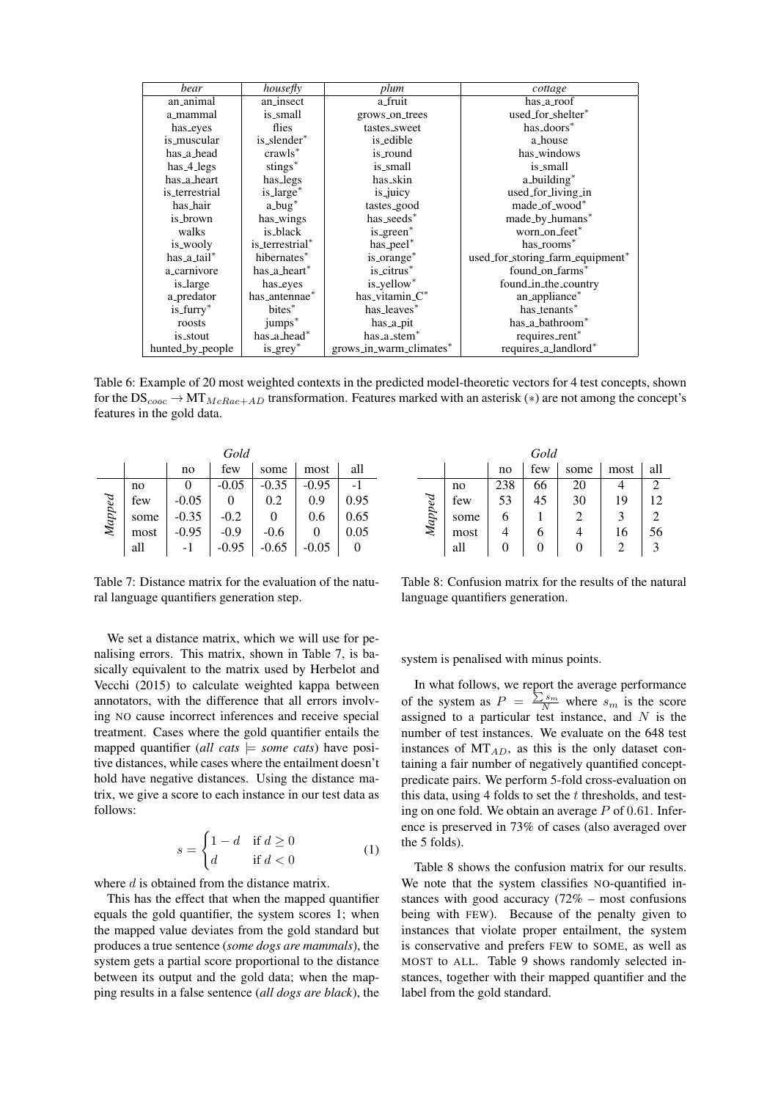| bear             | housefly            | plum                    | cottage                          |
|------------------|---------------------|-------------------------|----------------------------------|
| an_animal        | an_insect           | a_fruit                 | has_a_roof                       |
| a_mammal         | is_small            | grows_on_trees          | used_for_shelter*                |
| has_eyes         | flies               | tastes_sweet            | has_doors <sup>*</sup>           |
| is_muscular      | is_slender*         | is_edible               | a_house                          |
| has_a_head       | crawls <sup>*</sup> | is_round                | has_windows                      |
| $has_4_legs$     | stings*             | is_small                | is_small                         |
| has_a_heart      | has_legs            | has_skin                | a_building*                      |
| is terrestrial   | is_large*           | is_juicy                | used_for_living_in               |
| has_hair         | $a_bug^*$           | tastes_good             | made_of_wood*                    |
| is_brown         | has_wings           | has_seeds*              | made_by_humans*                  |
| walks            | is_black            | is_green*               | worn_on_feet*                    |
| is_wooly         | is_terrestrial*     | has_peel*               | has_rooms*                       |
| has_a_tail*      | hibernates*         | is_orange*              | used_for_storing_farm_equipment* |
| a_carnivore      | has_a_heart*        | is_citrus*              | found_on_farms <sup>*</sup>      |
| is_large         | has_eyes            | is_yellow*              | found_in_the_country             |
| a_predator       | has_antennae*       | has_vitamin $C^*$       | an_appliance*                    |
| $is_L*$          | bites <sup>*</sup>  | has_leaves*             | has_tenants*                     |
| roosts           | jumps <sup>*</sup>  | has_a_pit               | has_a_bathroom <sup>*</sup>      |
| is_stout         | has_a_head*         | has_a_stem*             | requires_rent <sup>*</sup>       |
| hunted_by_people | $is\_grey^*$        | grows_in_warm_climates* | requires_a_landlord*             |

Table 6: Example of 20 most weighted contexts in the predicted model-theoretic vectors for 4 test concepts, shown for the  $DS_{cooc} \rightarrow MT_{McRae+AD}$  transformation. Features marked with an asterisk (\*) are not among the concept's features in the gold data.

| Gold            |      |         |         |         |         |          |
|-----------------|------|---------|---------|---------|---------|----------|
|                 |      | no      | few     | some    | most    | all      |
|                 | no   | 0       | $-0.05$ | $-0.35$ | $-0.95$ |          |
| $\emph{Mapped}$ | few  | $-0.05$ | O       | 0.2     | 0.9     | 0.95     |
|                 | some | $-0.35$ | $-0.2$  |         | 0.6     | 0.65     |
|                 | most | $-0.95$ | $-0.9$  | $-0.6$  |         | 0.05     |
|                 | all  | -1      | $-0.95$ | $-0.65$ | $-0.05$ | $\theta$ |

Table 7: Distance matrix for the evaluation of the natural language quantifiers generation step.

We set a distance matrix, which we will use for penalising errors. This matrix, shown in Table 7, is basically equivalent to the matrix used by Herbelot and Vecchi (2015) to calculate weighted kappa between annotators, with the difference that all errors involving NO cause incorrect inferences and receive special treatment. Cases where the gold quantifier entails the mapped quantifier (*all cats*  $\models$  *some cats*) have positive distances, while cases where the entailment doesn't hold have negative distances. Using the distance matrix, we give a score to each instance in our test data as follows:

$$
s = \begin{cases} 1 - d & \text{if } d \ge 0 \\ d & \text{if } d < 0 \end{cases}
$$
 (1)

where d is obtained from the distance matrix.

This has the effect that when the mapped quantifier equals the gold quantifier, the system scores 1; when the mapped value deviates from the gold standard but produces a true sentence (*some dogs are mammals*), the system gets a partial score proportional to the distance between its output and the gold data; when the mapping results in a false sentence (*all dogs are black*), the

| Gold   |      |     |     |                |      |     |
|--------|------|-----|-----|----------------|------|-----|
|        |      | no  | few | some           | most | all |
|        | no   | 238 | 66  | 20             |      |     |
|        | few  | 53  | 45  | 30             | 19   | 12  |
| Mapped | some | 6   |     | $\mathfrak{D}$ | 3    |     |
|        | most |     |     |                | 16   | 56  |
|        | all  |     |     |                |      |     |

Table 8: Confusion matrix for the results of the natural language quantifiers generation.

system is penalised with minus points.

In what follows, we report the average performance of the system as  $P = \frac{\sum s_m}{N}$  where  $s_m$  is the score assigned to a particular test instance, and  $N$  is the number of test instances. We evaluate on the 648 test instances of  $MT_{AD}$ , as this is the only dataset containing a fair number of negatively quantified conceptpredicate pairs. We perform 5-fold cross-evaluation on this data, using 4 folds to set the  $t$  thresholds, and testing on one fold. We obtain an average  $P$  of 0.61. Inference is preserved in 73% of cases (also averaged over the 5 folds).

Table 8 shows the confusion matrix for our results. We note that the system classifies NO-quantified instances with good accuracy  $(72\% - \text{most confusion})$ being with FEW). Because of the penalty given to instances that violate proper entailment, the system is conservative and prefers FEW to SOME, as well as MOST to ALL. Table 9 shows randomly selected instances, together with their mapped quantifier and the label from the gold standard.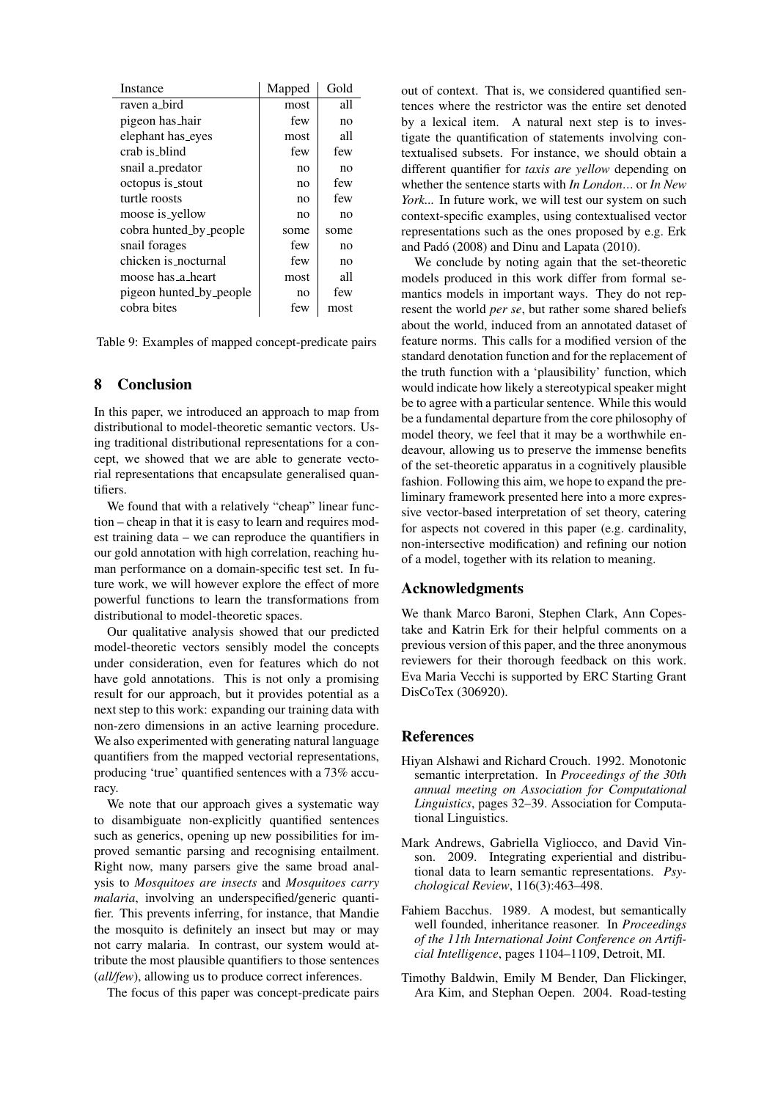| Instance                | Mapped | Gold |
|-------------------------|--------|------|
| raven a bird            | most   | all  |
| pigeon has hair         | few    | no   |
| elephant has_eyes       | most   | all  |
| crab is_blind           | few    | few  |
| snail a_predator        | no     | no   |
| octopus is_stout        | no     | few  |
| turtle roosts           | no     | few  |
| moose is_yellow         | no     | no   |
| cobra hunted_by_people  | some   | some |
| snail forages           | few    | no   |
| chicken is nocturnal    | few    | no   |
| moose has a heart       | most   | all  |
| pigeon hunted_by_people | no     | few  |
| cobra bites             | few    | most |

Table 9: Examples of mapped concept-predicate pairs

#### 8 Conclusion

In this paper, we introduced an approach to map from distributional to model-theoretic semantic vectors. Using traditional distributional representations for a concept, we showed that we are able to generate vectorial representations that encapsulate generalised quantifiers.

We found that with a relatively "cheap" linear function – cheap in that it is easy to learn and requires modest training data – we can reproduce the quantifiers in our gold annotation with high correlation, reaching human performance on a domain-specific test set. In future work, we will however explore the effect of more powerful functions to learn the transformations from distributional to model-theoretic spaces.

Our qualitative analysis showed that our predicted model-theoretic vectors sensibly model the concepts under consideration, even for features which do not have gold annotations. This is not only a promising result for our approach, but it provides potential as a next step to this work: expanding our training data with non-zero dimensions in an active learning procedure. We also experimented with generating natural language quantifiers from the mapped vectorial representations, producing 'true' quantified sentences with a 73% accuracy.

We note that our approach gives a systematic way to disambiguate non-explicitly quantified sentences such as generics, opening up new possibilities for improved semantic parsing and recognising entailment. Right now, many parsers give the same broad analysis to *Mosquitoes are insects* and *Mosquitoes carry malaria*, involving an underspecified/generic quantifier. This prevents inferring, for instance, that Mandie the mosquito is definitely an insect but may or may not carry malaria. In contrast, our system would attribute the most plausible quantifiers to those sentences (*all/few*), allowing us to produce correct inferences.

The focus of this paper was concept-predicate pairs

out of context. That is, we considered quantified sentences where the restrictor was the entire set denoted by a lexical item. A natural next step is to investigate the quantification of statements involving contextualised subsets. For instance, we should obtain a different quantifier for *taxis are yellow* depending on whether the sentence starts with *In London*... or *In New York...* In future work, we will test our system on such context-specific examples, using contextualised vector representations such as the ones proposed by e.g. Erk and Padó (2008) and Dinu and Lapata (2010).

We conclude by noting again that the set-theoretic models produced in this work differ from formal semantics models in important ways. They do not represent the world *per se*, but rather some shared beliefs about the world, induced from an annotated dataset of feature norms. This calls for a modified version of the standard denotation function and for the replacement of the truth function with a 'plausibility' function, which would indicate how likely a stereotypical speaker might be to agree with a particular sentence. While this would be a fundamental departure from the core philosophy of model theory, we feel that it may be a worthwhile endeavour, allowing us to preserve the immense benefits of the set-theoretic apparatus in a cognitively plausible fashion. Following this aim, we hope to expand the preliminary framework presented here into a more expressive vector-based interpretation of set theory, catering for aspects not covered in this paper (e.g. cardinality, non-intersective modification) and refining our notion of a model, together with its relation to meaning.

#### Acknowledgments

We thank Marco Baroni, Stephen Clark, Ann Copestake and Katrin Erk for their helpful comments on a previous version of this paper, and the three anonymous reviewers for their thorough feedback on this work. Eva Maria Vecchi is supported by ERC Starting Grant DisCoTex (306920).

### References

- Hiyan Alshawi and Richard Crouch. 1992. Monotonic semantic interpretation. In *Proceedings of the 30th annual meeting on Association for Computational Linguistics*, pages 32–39. Association for Computational Linguistics.
- Mark Andrews, Gabriella Vigliocco, and David Vinson. 2009. Integrating experiential and distributional data to learn semantic representations. *Psychological Review*, 116(3):463–498.
- Fahiem Bacchus. 1989. A modest, but semantically well founded, inheritance reasoner. In *Proceedings of the 11th International Joint Conference on Artificial Intelligence*, pages 1104–1109, Detroit, MI.
- Timothy Baldwin, Emily M Bender, Dan Flickinger, Ara Kim, and Stephan Oepen. 2004. Road-testing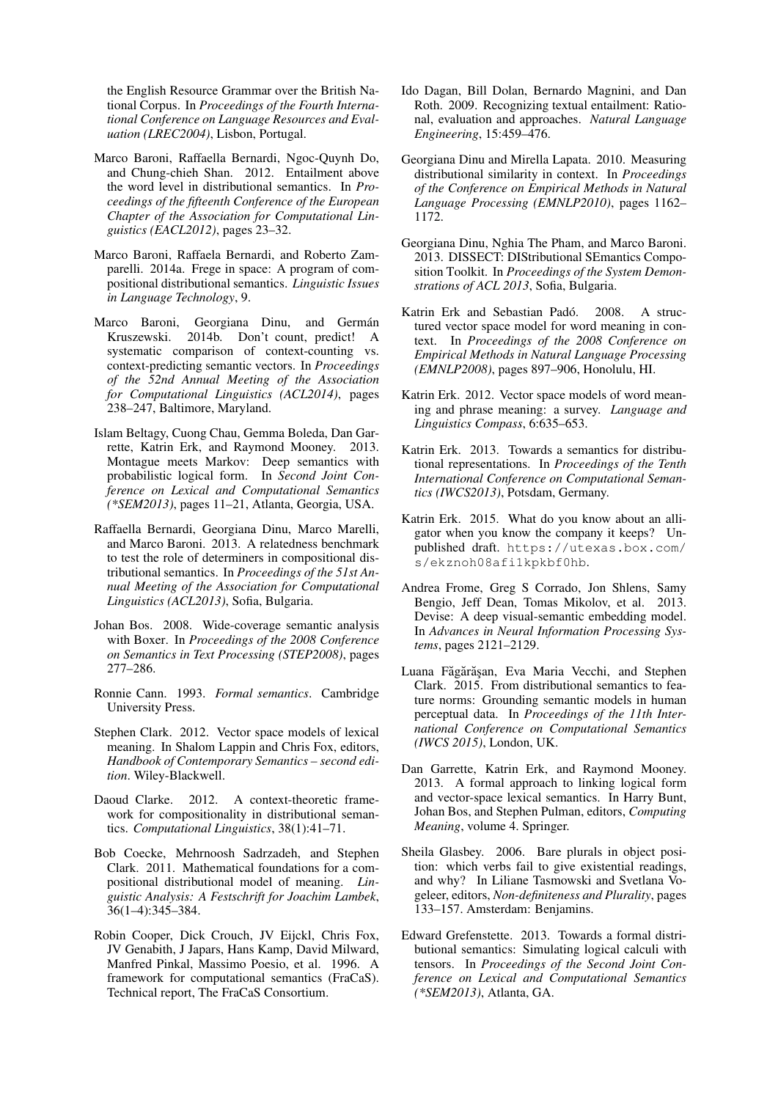the English Resource Grammar over the British National Corpus. In *Proceedings of the Fourth International Conference on Language Resources and Evaluation (LREC2004)*, Lisbon, Portugal.

- Marco Baroni, Raffaella Bernardi, Ngoc-Quynh Do, and Chung-chieh Shan. 2012. Entailment above the word level in distributional semantics. In *Proceedings of the fifteenth Conference of the European Chapter of the Association for Computational Linguistics (EACL2012)*, pages 23–32.
- Marco Baroni, Raffaela Bernardi, and Roberto Zamparelli. 2014a. Frege in space: A program of compositional distributional semantics. *Linguistic Issues in Language Technology*, 9.
- Marco Baroni, Georgiana Dinu, and Germán Kruszewski. 2014b. Don't count, predict! A systematic comparison of context-counting vs. context-predicting semantic vectors. In *Proceedings of the 52nd Annual Meeting of the Association for Computational Linguistics (ACL2014)*, pages 238–247, Baltimore, Maryland.
- Islam Beltagy, Cuong Chau, Gemma Boleda, Dan Garrette, Katrin Erk, and Raymond Mooney. 2013. Montague meets Markov: Deep semantics with probabilistic logical form. In *Second Joint Conference on Lexical and Computational Semantics (\*SEM2013)*, pages 11–21, Atlanta, Georgia, USA.
- Raffaella Bernardi, Georgiana Dinu, Marco Marelli, and Marco Baroni. 2013. A relatedness benchmark to test the role of determiners in compositional distributional semantics. In *Proceedings of the 51st Annual Meeting of the Association for Computational Linguistics (ACL2013)*, Sofia, Bulgaria.
- Johan Bos. 2008. Wide-coverage semantic analysis with Boxer. In *Proceedings of the 2008 Conference on Semantics in Text Processing (STEP2008)*, pages 277–286.
- Ronnie Cann. 1993. *Formal semantics*. Cambridge University Press.
- Stephen Clark. 2012. Vector space models of lexical meaning. In Shalom Lappin and Chris Fox, editors, *Handbook of Contemporary Semantics – second edition*. Wiley-Blackwell.
- Daoud Clarke. 2012. A context-theoretic framework for compositionality in distributional semantics. *Computational Linguistics*, 38(1):41–71.
- Bob Coecke, Mehrnoosh Sadrzadeh, and Stephen Clark. 2011. Mathematical foundations for a compositional distributional model of meaning. *Linguistic Analysis: A Festschrift for Joachim Lambek*, 36(1–4):345–384.
- Robin Cooper, Dick Crouch, JV Eijckl, Chris Fox, JV Genabith, J Japars, Hans Kamp, David Milward, Manfred Pinkal, Massimo Poesio, et al. 1996. A framework for computational semantics (FraCaS). Technical report, The FraCaS Consortium.
- Ido Dagan, Bill Dolan, Bernardo Magnini, and Dan Roth. 2009. Recognizing textual entailment: Rational, evaluation and approaches. *Natural Language Engineering*, 15:459–476.
- Georgiana Dinu and Mirella Lapata. 2010. Measuring distributional similarity in context. In *Proceedings of the Conference on Empirical Methods in Natural Language Processing (EMNLP2010)*, pages 1162– 1172.
- Georgiana Dinu, Nghia The Pham, and Marco Baroni. 2013. DISSECT: DIStributional SEmantics Composition Toolkit. In *Proceedings of the System Demonstrations of ACL 2013*, Sofia, Bulgaria.
- Katrin Erk and Sebastian Padó. 2008. A structured vector space model for word meaning in context. In *Proceedings of the 2008 Conference on Empirical Methods in Natural Language Processing (EMNLP2008)*, pages 897–906, Honolulu, HI.
- Katrin Erk. 2012. Vector space models of word meaning and phrase meaning: a survey. *Language and Linguistics Compass*, 6:635–653.
- Katrin Erk. 2013. Towards a semantics for distributional representations. In *Proceedings of the Tenth International Conference on Computational Semantics (IWCS2013)*, Potsdam, Germany.
- Katrin Erk. 2015. What do you know about an alligator when you know the company it keeps? Unpublished draft. https://utexas.box.com/ s/ekznoh08afi1kpkbf0hb.
- Andrea Frome, Greg S Corrado, Jon Shlens, Samy Bengio, Jeff Dean, Tomas Mikolov, et al. 2013. Devise: A deep visual-semantic embedding model. In *Advances in Neural Information Processing Systems*, pages 2121–2129.
- Luana Făgărăşan, Eva Maria Vecchi, and Stephen Clark. 2015. From distributional semantics to feature norms: Grounding semantic models in human perceptual data. In *Proceedings of the 11th International Conference on Computational Semantics (IWCS 2015)*, London, UK.
- Dan Garrette, Katrin Erk, and Raymond Mooney. 2013. A formal approach to linking logical form and vector-space lexical semantics. In Harry Bunt, Johan Bos, and Stephen Pulman, editors, *Computing Meaning*, volume 4. Springer.
- Sheila Glasbey. 2006. Bare plurals in object position: which verbs fail to give existential readings, and why? In Liliane Tasmowski and Svetlana Vogeleer, editors, *Non-definiteness and Plurality*, pages 133–157. Amsterdam: Benjamins.
- Edward Grefenstette. 2013. Towards a formal distributional semantics: Simulating logical calculi with tensors. In *Proceedings of the Second Joint Conference on Lexical and Computational Semantics (\*SEM2013)*, Atlanta, GA.